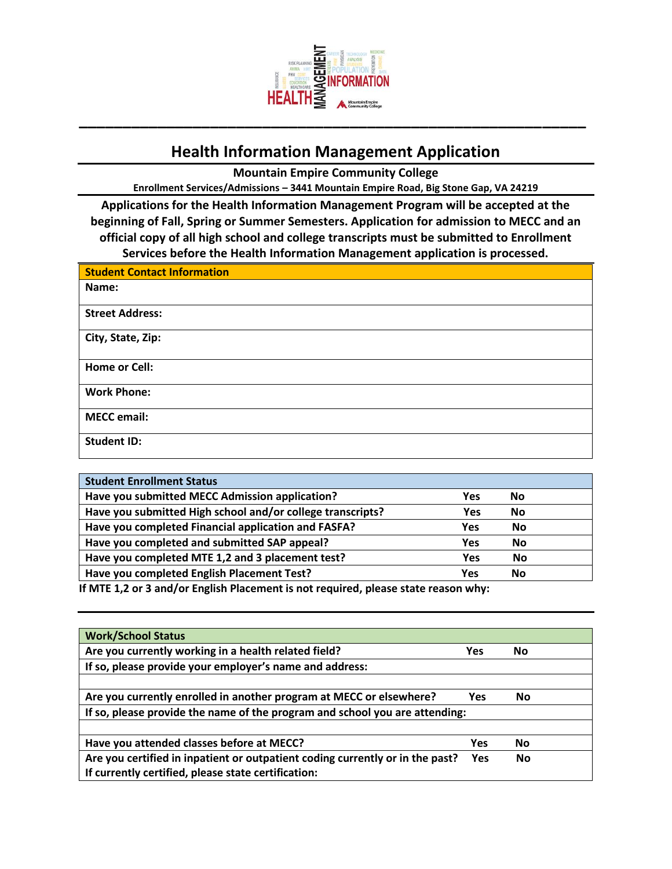

## **Health Information Management Application**

**Mountain Empire Community College**

**Enrollment Services/Admissions – 3441 Mountain Empire Road, Big Stone Gap, VA 24219**

**Applications for the Health Information Management Program will be accepted at the beginning of Fall, Spring or Summer Semesters. Application for admission to MECC and an official copy of all high school and college transcripts must be submitted to Enrollment Services before the Health Information Management application is processed.** 

| <b>Student Contact Information</b> |
|------------------------------------|
| Name:                              |
| <b>Street Address:</b>             |
| City, State, Zip:                  |
| <b>Home or Cell:</b>               |
| <b>Work Phone:</b>                 |
| <b>MECC</b> email:                 |
| <b>Student ID:</b>                 |

| <b>Student Enrollment Status</b>                           |            |           |
|------------------------------------------------------------|------------|-----------|
| Have you submitted MECC Admission application?             | Yes        | No        |
| Have you submitted High school and/or college transcripts? | <b>Yes</b> | <b>No</b> |
| Have you completed Financial application and FASFA?        | <b>Yes</b> | No        |
| Have you completed and submitted SAP appeal?               | <b>Yes</b> | <b>No</b> |
| Have you completed MTE 1,2 and 3 placement test?           | <b>Yes</b> | <b>No</b> |
| Have you completed English Placement Test?                 | Yes        | <b>No</b> |
|                                                            |            |           |

**If MTE 1,2 or 3 and/or English Placement is not required, please state reason why:**

| <b>Work/School Status</b>                                                     |            |    |  |  |
|-------------------------------------------------------------------------------|------------|----|--|--|
| Are you currently working in a health related field?                          | Yes        | No |  |  |
| If so, please provide your employer's name and address:                       |            |    |  |  |
|                                                                               |            |    |  |  |
| Are you currently enrolled in another program at MECC or elsewhere?           | Yes        | No |  |  |
| If so, please provide the name of the program and school you are attending:   |            |    |  |  |
|                                                                               |            |    |  |  |
| Have you attended classes before at MECC?                                     | <b>Yes</b> | No |  |  |
| Are you certified in inpatient or outpatient coding currently or in the past? | <b>Yes</b> | No |  |  |
| If currently certified, please state certification:                           |            |    |  |  |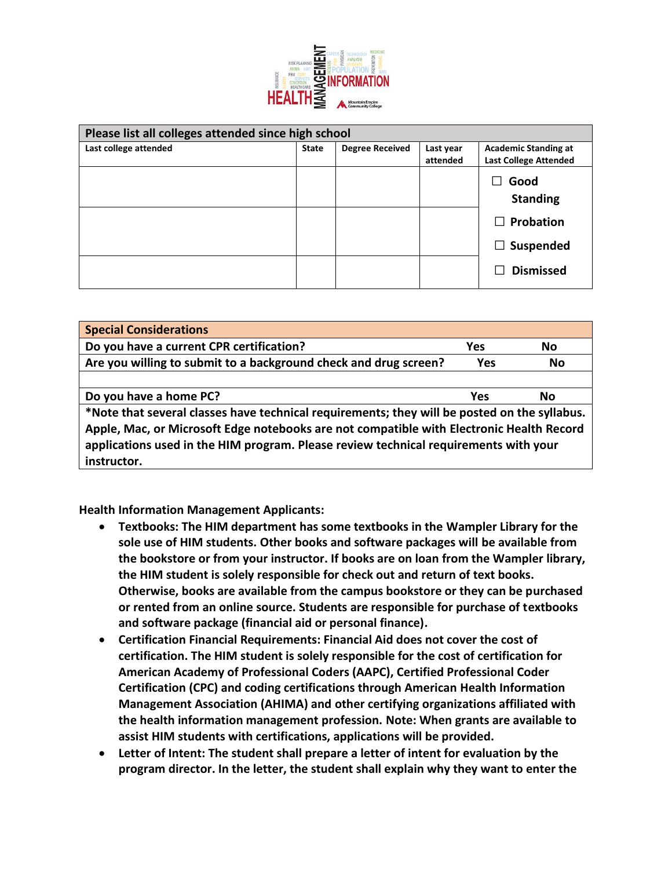

| Please list all colleges attended since high school |              |                        |                       |                                                             |  |  |  |
|-----------------------------------------------------|--------------|------------------------|-----------------------|-------------------------------------------------------------|--|--|--|
| Last college attended                               | <b>State</b> | <b>Degree Received</b> | Last year<br>attended | <b>Academic Standing at</b><br><b>Last College Attended</b> |  |  |  |
|                                                     |              |                        |                       | Good<br><b>Standing</b><br>Probation<br>ΙI                  |  |  |  |
|                                                     |              |                        |                       | Suspended<br>$\perp$<br><b>Dismissed</b><br>ΙI              |  |  |  |
|                                                     |              |                        |                       |                                                             |  |  |  |

| <b>Special Considerations</b>                                                                |            |           |  |  |  |
|----------------------------------------------------------------------------------------------|------------|-----------|--|--|--|
| Do you have a current CPR certification?                                                     | Yes        | No        |  |  |  |
| Are you willing to submit to a background check and drug screen?                             | <b>Yes</b> | <b>No</b> |  |  |  |
|                                                                                              |            |           |  |  |  |
| Do you have a home PC?                                                                       | Yes        | No        |  |  |  |
| *Note that several classes have technical requirements; they will be posted on the syllabus. |            |           |  |  |  |
| Apple, Mac, or Microsoft Edge notebooks are not compatible with Electronic Health Record     |            |           |  |  |  |
| applications used in the HIM program. Please review technical requirements with your         |            |           |  |  |  |
| instructor.                                                                                  |            |           |  |  |  |

**Health Information Management Applicants:** 

- **Textbooks: The HIM department has some textbooks in the Wampler Library for the sole use of HIM students. Other books and software packages will be available from the bookstore or from your instructor. If books are on loan from the Wampler library, the HIM student is solely responsible for check out and return of text books. Otherwise, books are available from the campus bookstore or they can be purchased or rented from an online source. Students are responsible for purchase of textbooks and software package (financial aid or personal finance).**
- **Certification Financial Requirements: Financial Aid does not cover the cost of certification. The HIM student is solely responsible for the cost of certification for American Academy of Professional Coders (AAPC), Certified Professional Coder Certification (CPC) and coding certifications through American Health Information Management Association (AHIMA) and other certifying organizations affiliated with the health information management profession. Note: When grants are available to assist HIM students with certifications, applications will be provided.**
- **Letter of Intent: The student shall prepare a letter of intent for evaluation by the program director. In the letter, the student shall explain why they want to enter the**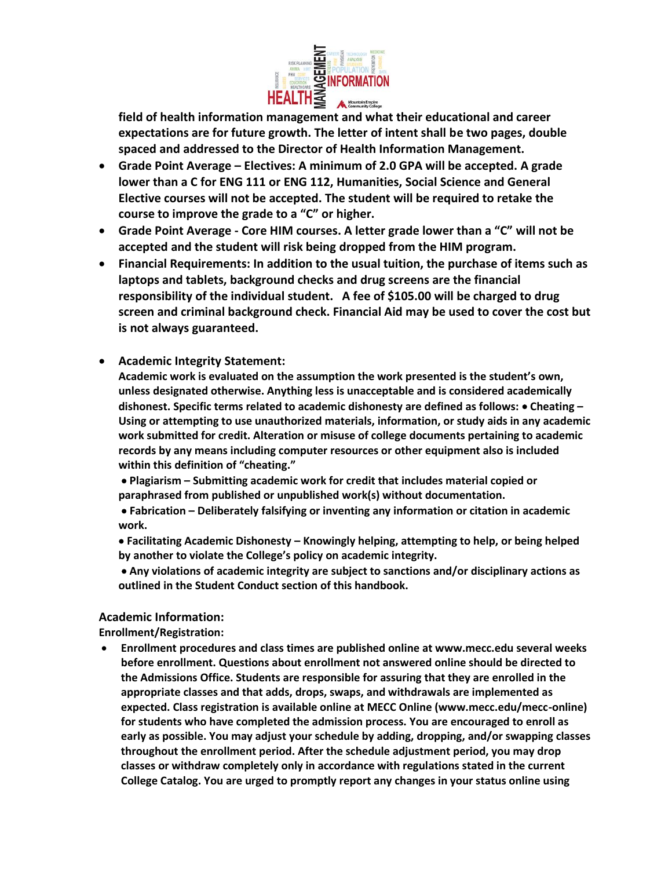

**field of health information management and what their educational and career expectations are for future growth. The letter of intent shall be two pages, double spaced and addressed to the Director of Health Information Management.** 

- **Grade Point Average – Electives: A minimum of 2.0 GPA will be accepted. A grade lower than a C for ENG 111 or ENG 112, Humanities, Social Science and General Elective courses will not be accepted. The student will be required to retake the course to improve the grade to a "C" or higher.**
- **Grade Point Average - Core HIM courses. A letter grade lower than a "C" will not be accepted and the student will risk being dropped from the HIM program.**
- **Financial Requirements: In addition to the usual tuition, the purchase of items such as laptops and tablets, background checks and drug screens are the financial responsibility of the individual student. A fee of \$105.00 will be charged to drug screen and criminal background check. Financial Aid may be used to cover the cost but is not always guaranteed.**
- **Academic Integrity Statement:**

**Academic work is evaluated on the assumption the work presented is the student's own, unless designated otherwise. Anything less is unacceptable and is considered academically dishonest. Specific terms related to academic dishonesty are defined as follows:** • **Cheating – Using or attempting to use unauthorized materials, information, or study aids in any academic work submitted for credit. Alteration or misuse of college documents pertaining to academic records by any means including computer resources or other equipment also is included within this definition of "cheating."**

• **Plagiarism – Submitting academic work for credit that includes material copied or paraphrased from published or unpublished work(s) without documentation.**

• **Fabrication – Deliberately falsifying or inventing any information or citation in academic work.** 

• **Facilitating Academic Dishonesty – Knowingly helping, attempting to help, or being helped by another to violate the College's policy on academic integrity.**

• **Any violations of academic integrity are subject to sanctions and/or disciplinary actions as outlined in the Student Conduct section of this handbook.**

## **Academic Information:**

**Enrollment/Registration:**

• **Enrollment procedures and class times are published online at www.mecc.edu several weeks before enrollment. Questions about enrollment not answered online should be directed to the Admissions Office. Students are responsible for assuring that they are enrolled in the appropriate classes and that adds, drops, swaps, and withdrawals are implemented as expected. Class registration is available online at MECC Online (www.mecc.edu/mecc-online) for students who have completed the admission process. You are encouraged to enroll as early as possible. You may adjust your schedule by adding, dropping, and/or swapping classes throughout the enrollment period. After the schedule adjustment period, you may drop classes or withdraw completely only in accordance with regulations stated in the current College Catalog. You are urged to promptly report any changes in your status online using**